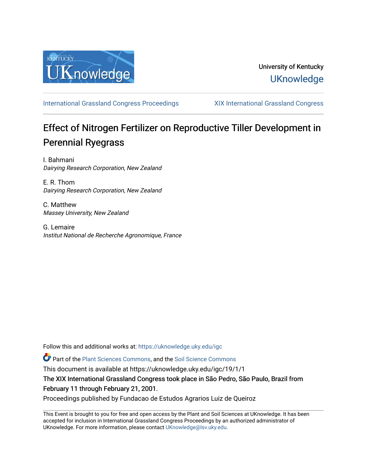

## University of Kentucky **UKnowledge**

[International Grassland Congress Proceedings](https://uknowledge.uky.edu/igc) [XIX International Grassland Congress](https://uknowledge.uky.edu/igc/19) 

# Effect of Nitrogen Fertilizer on Reproductive Tiller Development in Perennial Ryegrass

I. Bahmani Dairying Research Corporation, New Zealand

E. R. Thom Dairying Research Corporation, New Zealand

C. Matthew Massey University, New Zealand

G. Lemaire Institut National de Recherche Agronomique, France

Follow this and additional works at: [https://uknowledge.uky.edu/igc](https://uknowledge.uky.edu/igc?utm_source=uknowledge.uky.edu%2Figc%2F19%2F1%2F1&utm_medium=PDF&utm_campaign=PDFCoverPages) 

Part of the [Plant Sciences Commons](http://network.bepress.com/hgg/discipline/102?utm_source=uknowledge.uky.edu%2Figc%2F19%2F1%2F1&utm_medium=PDF&utm_campaign=PDFCoverPages), and the [Soil Science Commons](http://network.bepress.com/hgg/discipline/163?utm_source=uknowledge.uky.edu%2Figc%2F19%2F1%2F1&utm_medium=PDF&utm_campaign=PDFCoverPages) 

This document is available at https://uknowledge.uky.edu/igc/19/1/1

The XIX International Grassland Congress took place in São Pedro, São Paulo, Brazil from February 11 through February 21, 2001.

Proceedings published by Fundacao de Estudos Agrarios Luiz de Queiroz

This Event is brought to you for free and open access by the Plant and Soil Sciences at UKnowledge. It has been accepted for inclusion in International Grassland Congress Proceedings by an authorized administrator of UKnowledge. For more information, please contact [UKnowledge@lsv.uky.edu](mailto:UKnowledge@lsv.uky.edu).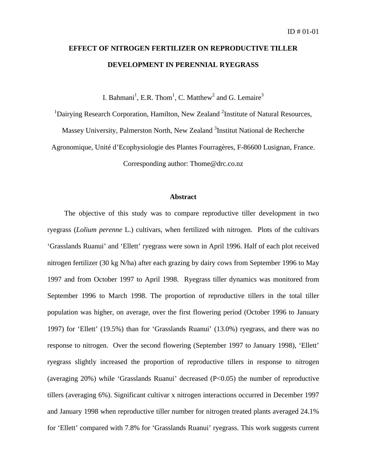# **EFFECT OF NITROGEN FERTILIZER ON REPRODUCTIVE TILLER DEVELOPMENT IN PERENNIAL RYEGRASS**

I. Bahmani<sup>1</sup>, E.R. Thom<sup>1</sup>, C. Matthew<sup>2</sup> and G. Lemaire<sup>3</sup>

 $1$ Dairying Research Corporation, Hamilton, New Zealand  $2$ Institute of Natural Resources,

Massey University, Palmerston North, New Zealand <sup>3</sup>Institut National de Recherche

Agronomique, Unité d'Ecophysiologie des Plantes Fourragères, F-86600 Lusignan, France.

Corresponding author: Thome@drc.co.nz

### **Abstract**

The objective of this study was to compare reproductive tiller development in two ryegrass (*Lolium perenne* L.) cultivars, when fertilized with nitrogen. Plots of the cultivars 'Grasslands Ruanui' and 'Ellett' ryegrass were sown in April 1996. Half of each plot received nitrogen fertilizer (30 kg N/ha) after each grazing by dairy cows from September 1996 to May 1997 and from October 1997 to April 1998. Ryegrass tiller dynamics was monitored from September 1996 to March 1998. The proportion of reproductive tillers in the total tiller population was higher, on average, over the first flowering period (October 1996 to January 1997) for 'Ellett' (19.5%) than for 'Grasslands Ruanui' (13.0%) ryegrass, and there was no response to nitrogen. Over the second flowering (September 1997 to January 1998), 'Ellett' ryegrass slightly increased the proportion of reproductive tillers in response to nitrogen (averaging 20%) while 'Grasslands Ruanui' decreased (P<0.05) the number of reproductive tillers (averaging 6%). Significant cultivar x nitrogen interactions occurred in December 1997 and January 1998 when reproductive tiller number for nitrogen treated plants averaged 24.1% for 'Ellett' compared with 7.8% for 'Grasslands Ruanui' ryegrass. This work suggests current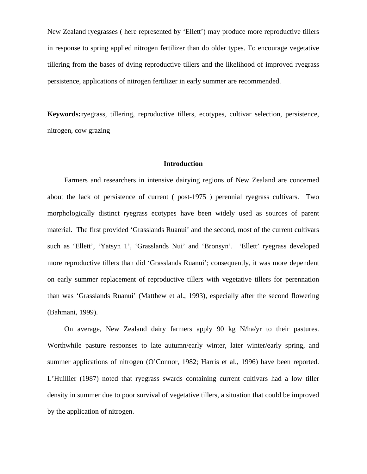New Zealand ryegrasses ( here represented by 'Ellett') may produce more reproductive tillers in response to spring applied nitrogen fertilizer than do older types. To encourage vegetative tillering from the bases of dying reproductive tillers and the likelihood of improved ryegrass persistence, applications of nitrogen fertilizer in early summer are recommended.

**Keywords:**ryegrass, tillering, reproductive tillers, ecotypes, cultivar selection, persistence, nitrogen, cow grazing

#### **Introduction**

Farmers and researchers in intensive dairying regions of New Zealand are concerned about the lack of persistence of current ( post-1975 ) perennial ryegrass cultivars. Two morphologically distinct ryegrass ecotypes have been widely used as sources of parent material. The first provided 'Grasslands Ruanui' and the second, most of the current cultivars such as 'Ellett', 'Yatsyn 1', 'Grasslands Nui' and 'Bronsyn'. 'Ellett' ryegrass developed more reproductive tillers than did 'Grasslands Ruanui'; consequently, it was more dependent on early summer replacement of reproductive tillers with vegetative tillers for perennation than was 'Grasslands Ruanui' (Matthew et al., 1993), especially after the second flowering (Bahmani, 1999).

On average, New Zealand dairy farmers apply 90 kg N/ha/yr to their pastures. Worthwhile pasture responses to late autumn/early winter, later winter/early spring, and summer applications of nitrogen (O'Connor, 1982; Harris et al., 1996) have been reported. L'Huillier (1987) noted that ryegrass swards containing current cultivars had a low tiller density in summer due to poor survival of vegetative tillers, a situation that could be improved by the application of nitrogen.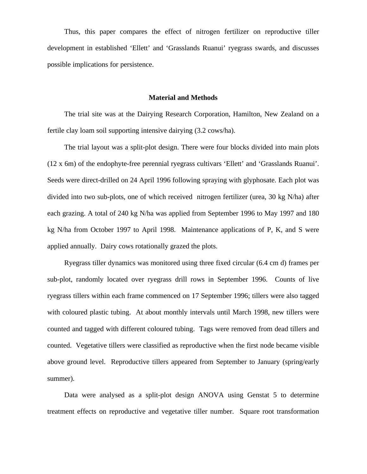Thus, this paper compares the effect of nitrogen fertilizer on reproductive tiller development in established 'Ellett' and 'Grasslands Ruanui' ryegrass swards, and discusses possible implications for persistence.

#### **Material and Methods**

The trial site was at the Dairying Research Corporation, Hamilton, New Zealand on a fertile clay loam soil supporting intensive dairying (3.2 cows/ha).

The trial layout was a split-plot design. There were four blocks divided into main plots (12 x 6m) of the endophyte-free perennial ryegrass cultivars 'Ellett' and 'Grasslands Ruanui'. Seeds were direct-drilled on 24 April 1996 following spraying with glyphosate. Each plot was divided into two sub-plots, one of which received nitrogen fertilizer (urea, 30 kg N/ha) after each grazing. A total of 240 kg N/ha was applied from September 1996 to May 1997 and 180 kg N/ha from October 1997 to April 1998. Maintenance applications of P, K, and S were applied annually. Dairy cows rotationally grazed the plots.

Ryegrass tiller dynamics was monitored using three fixed circular (6.4 cm d) frames per sub-plot, randomly located over ryegrass drill rows in September 1996. Counts of live ryegrass tillers within each frame commenced on 17 September 1996; tillers were also tagged with coloured plastic tubing. At about monthly intervals until March 1998, new tillers were counted and tagged with different coloured tubing. Tags were removed from dead tillers and counted. Vegetative tillers were classified as reproductive when the first node became visible above ground level. Reproductive tillers appeared from September to January (spring/early summer).

Data were analysed as a split-plot design ANOVA using Genstat 5 to determine treatment effects on reproductive and vegetative tiller number. Square root transformation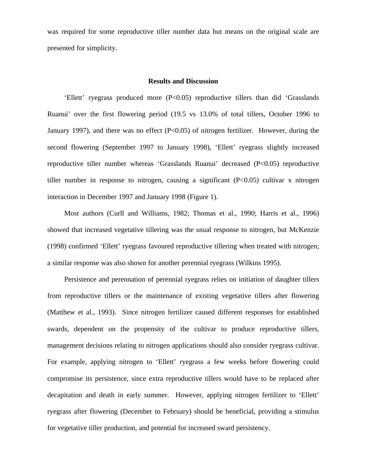was required for some reproductive tiller number data but means on the original scale are presented for simplicity.

## **Results and Discussion**

'Ellett' ryegrass produced more  $(P<0.05)$  reproductive tillers than did 'Grasslands' Ruanui' over the first flowering period (19.5 vs 13.0% of total tillers, October 1996 to January 1997), and there was no effect  $(P<0.05)$  of nitrogen fertilizer. However, during the second flowering (September 1997 to January 1998), 'Ellett' ryegrass slightly increased reproductive tiller number whereas 'Grasslands Ruanui' decreased (P<0.05) reproductive tiller number in response to nitrogen, causing a significant  $(P<0.05)$  cultivar x nitrogen interaction in December 1997 and January 1998 (Figure 1).

Most authors (Curll and Williams, 1982; Thomas et al., 1990; Harris et al., 1996) showed that increased vegetative tillering was the usual response to nitrogen, but McKenzie (1998) confirmed 'Ellett' ryegrass favoured reproductive tillering when treated with nitrogen; a similar response was also shown for another perennial ryegrass (Wilkins 1995).

Persistence and perennation of perennial ryegrass relies on initiation of daughter tillers from reproductive tillers or the maintenance of existing vegetative tillers after flowering (Matthew et al., 1993). Since nitrogen fertilizer caused different responses for established swards, dependent on the propensity of the cultivar to produce reproductive tillers, management decisions relating to nitrogen applications should also consider ryegrass cultivar. For example, applying nitrogen to 'Ellett' ryegrass a few weeks before flowering could compromise its persistence, since extra reproductive tillers would have to be replaced after decapitation and death in early summer. However, applying nitrogen fertilizer to 'Ellett' ryegrass after flowering (December to February) should be beneficial, providing a stimulus for vegetative tiller production, and potential for increased sward persistency.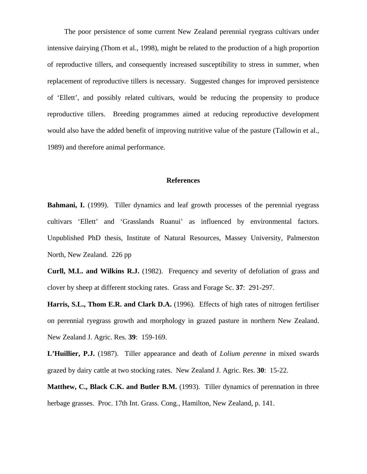The poor persistence of some current New Zealand perennial ryegrass cultivars under intensive dairying (Thom et al., 1998), might be related to the production of a high proportion of reproductive tillers, and consequently increased susceptibility to stress in summer, when replacement of reproductive tillers is necessary. Suggested changes for improved persistence of 'Ellett', and possibly related cultivars, would be reducing the propensity to produce reproductive tillers. Breeding programmes aimed at reducing reproductive development would also have the added benefit of improving nutritive value of the pasture (Tallowin et al., 1989) and therefore animal performance.

#### **References**

**Bahmani, I.** (1999). Tiller dynamics and leaf growth processes of the perennial ryegrass cultivars 'Ellett' and 'Grasslands Ruanui' as influenced by environmental factors. Unpublished PhD thesis, Institute of Natural Resources, Massey University, Palmerston North, New Zealand. 226 pp

**Curll, M.L. and Wilkins R.J.** (1982). Frequency and severity of defoliation of grass and clover by sheep at different stocking rates. Grass and Forage Sc. **37**: 291-297.

**Harris, S.L., Thom E.R. and Clark D.A.** (1996). Effects of high rates of nitrogen fertiliser on perennial ryegrass growth and morphology in grazed pasture in northern New Zealand. New Zealand J. Agric. Res. **39**: 159-169.

**L'Huillier, P.J.** (1987). Tiller appearance and death of *Lolium perenne* in mixed swards grazed by dairy cattle at two stocking rates. New Zealand J. Agric. Res. **30**: 15-22.

**Matthew, C., Black C.K. and Butler B.M.** (1993). Tiller dynamics of perennation in three herbage grasses. Proc. 17th Int. Grass. Cong., Hamilton, New Zealand, p. 141.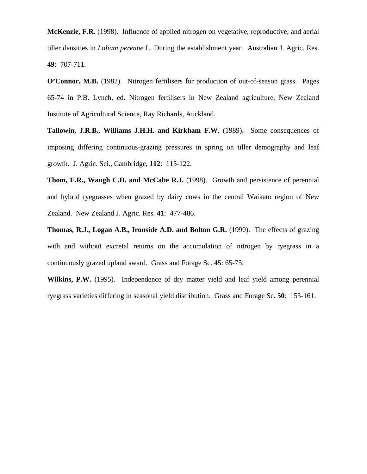**McKenzie, F.R.** (1998). Influence of applied nitrogen on vegetative, reproductive, and aerial tiller densities in *Lolium perenne* L. During the establishment year. Australian J. Agric. Res. **49**: 707-711.

**O'Connor, M.B.** (1982). Nitrogen fertilisers for production of out-of-season grass. Pages 65-74 in P.B. Lynch, ed. Nitrogen fertilisers in New Zealand agriculture, New Zealand Institute of Agricultural Science, Ray Richards, Auckland.

**Tallowin, J.R.B., Williams J.H.H. and Kirkham F.W.** (1989). Some consequences of imposing differing continuous-grazing pressures in spring on tiller demography and leaf growth. J. Agric. Sci., Cambridge, **112**: 115-122.

**Thom, E.R., Waugh C.D. and McCabe R.J.** (1998). Growth and persistence of perennial and hybrid ryegrasses when grazed by dairy cows in the central Waikato region of New Zealand. New Zealand J. Agric. Res. **41**: 477-486.

**Thomas, R.J., Logan A.B., Ironside A.D. and Bolton G.R.** (1990). The effects of grazing with and without excretal returns on the accumulation of nitrogen by ryegrass in a continuously grazed upland sward. Grass and Forage Sc. **45**: 65-75.

**Wilkins, P.W.** (1995). Independence of dry matter yield and leaf yield among perennial ryegrass varieties differing in seasonal yield distribution. Grass and Forage Sc. **50**: 155-161.